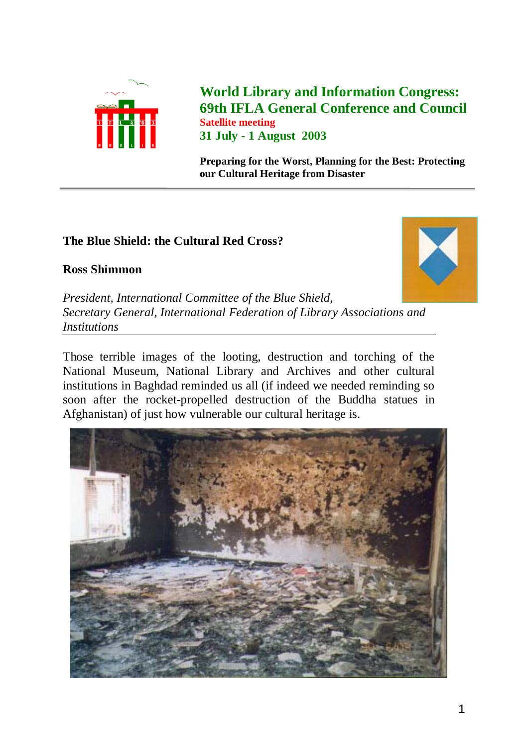

**World Library and Information Congress: 69th IFLA General Conference and Council Satellite meeting 31 July - 1 August 2003**

**Preparing for the Worst, Planning for the Best: Protecting our Cultural Heritage from Disaster**

## **The Blue Shield: the Cultural Red Cross?**

## **Ross Shimmon**



*President, International Committee of the Blue Shield, Secretary General, International Federation of Library Associations and Institutions*

Those terrible images of the looting, destruction and torching of the National Museum, National Library and Archives and other cultural institutions in Baghdad reminded us all (if indeed we needed reminding so soon after the rocket-propelled destruction of the Buddha statues in Afghanistan) of just how vulnerable our cultural heritage is.

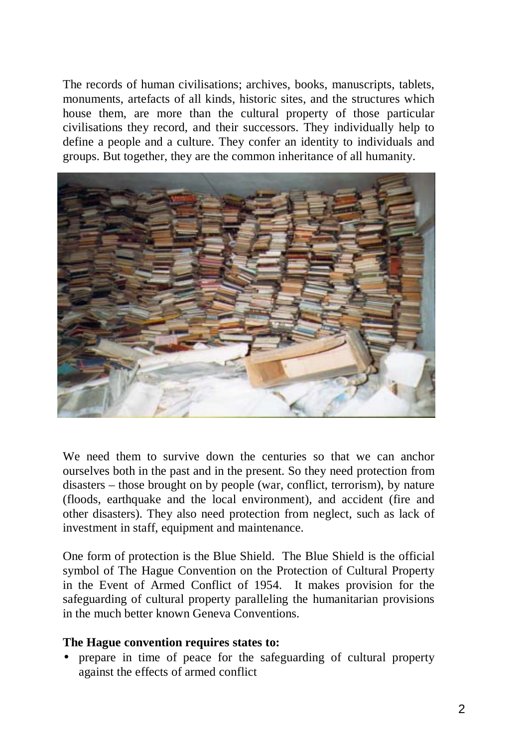The records of human civilisations; archives, books, manuscripts, tablets, monuments, artefacts of all kinds, historic sites, and the structures which house them, are more than the cultural property of those particular civilisations they record, and their successors. They individually help to define a people and a culture. They confer an identity to individuals and groups. But together, they are the common inheritance of all humanity.



We need them to survive down the centuries so that we can anchor ourselves both in the past and in the present. So they need protection from disasters – those brought on by people (war, conflict, terrorism), by nature (floods, earthquake and the local environment), and accident (fire and other disasters). They also need protection from neglect, such as lack of investment in staff, equipment and maintenance.

One form of protection is the Blue Shield. The Blue Shield is the official symbol of The Hague Convention on the Protection of Cultural Property in the Event of Armed Conflict of 1954. It makes provision for the safeguarding of cultural property paralleling the humanitarian provisions in the much better known Geneva Conventions.

## **The Hague convention requires states to:**

• prepare in time of peace for the safeguarding of cultural property against the effects of armed conflict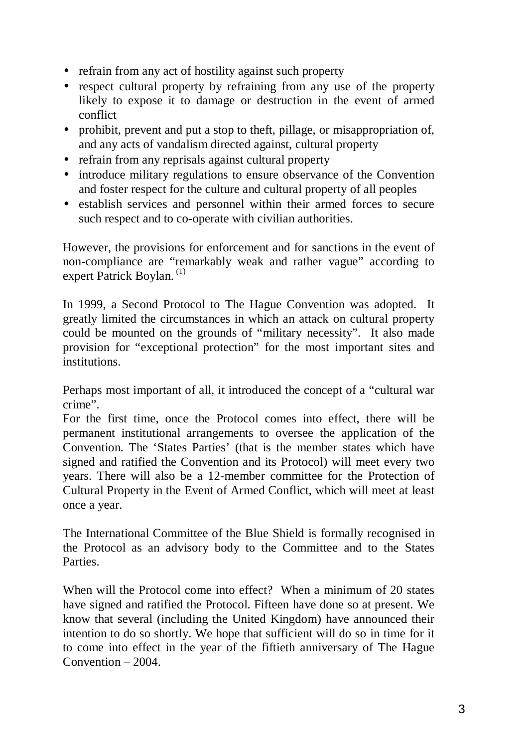- refrain from any act of hostility against such property
- respect cultural property by refraining from any use of the property likely to expose it to damage or destruction in the event of armed conflict
- prohibit, prevent and put a stop to theft, pillage, or misappropriation of, and any acts of vandalism directed against, cultural property
- refrain from any reprisals against cultural property
- introduce military regulations to ensure observance of the Convention and foster respect for the culture and cultural property of all peoples
- establish services and personnel within their armed forces to secure such respect and to co-operate with civilian authorities.

However, the provisions for enforcement and for sanctions in the event of non-compliance are "remarkably weak and rather vague" according to expert Patrick Boylan.<sup>(1)</sup>

In 1999, a Second Protocol to The Hague Convention was adopted. It greatly limited the circumstances in which an attack on cultural property could be mounted on the grounds of "military necessity". It also made provision for "exceptional protection" for the most important sites and institutions.

Perhaps most important of all, it introduced the concept of a "cultural war crime".

For the first time, once the Protocol comes into effect, there will be permanent institutional arrangements to oversee the application of the Convention. The 'States Parties' (that is the member states which have signed and ratified the Convention and its Protocol) will meet every two years. There will also be a 12-member committee for the Protection of Cultural Property in the Event of Armed Conflict, which will meet at least once a year.

The International Committee of the Blue Shield is formally recognised in the Protocol as an advisory body to the Committee and to the States **Parties** 

When will the Protocol come into effect? When a minimum of 20 states have signed and ratified the Protocol. Fifteen have done so at present. We know that several (including the United Kingdom) have announced their intention to do so shortly. We hope that sufficient will do so in time for it to come into effect in the year of the fiftieth anniversary of The Hague Convention – 2004.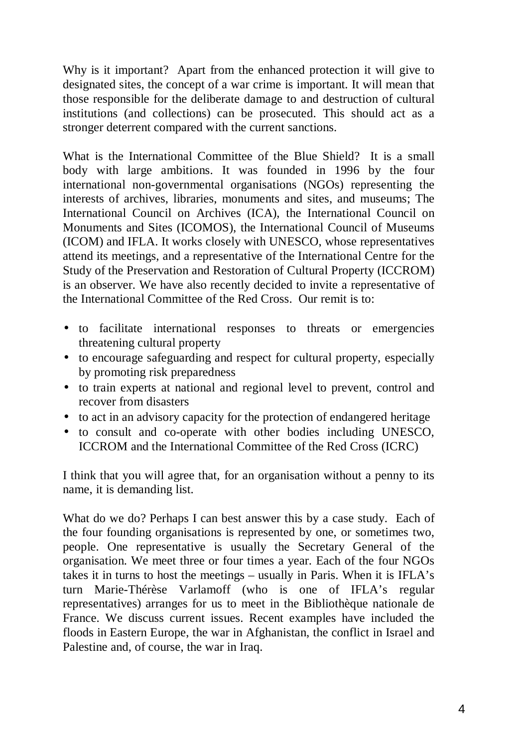Why is it important? Apart from the enhanced protection it will give to designated sites, the concept of a war crime is important. It will mean that those responsible for the deliberate damage to and destruction of cultural institutions (and collections) can be prosecuted. This should act as a stronger deterrent compared with the current sanctions.

What is the International Committee of the Blue Shield? It is a small body with large ambitions. It was founded in 1996 by the four international non-governmental organisations (NGOs) representing the interests of archives, libraries, monuments and sites, and museums; The International Council on Archives (ICA), the International Council on Monuments and Sites (ICOMOS), the International Council of Museums (ICOM) and IFLA. It works closely with UNESCO, whose representatives attend its meetings, and a representative of the International Centre for the Study of the Preservation and Restoration of Cultural Property (ICCROM) is an observer. We have also recently decided to invite a representative of the International Committee of the Red Cross. Our remit is to:

- to facilitate international responses to threats or emergencies threatening cultural property
- to encourage safeguarding and respect for cultural property, especially by promoting risk preparedness
- to train experts at national and regional level to prevent, control and recover from disasters
- to act in an advisory capacity for the protection of endangered heritage
- to consult and co-operate with other bodies including UNESCO, ICCROM and the International Committee of the Red Cross (ICRC)

I think that you will agree that, for an organisation without a penny to its name, it is demanding list.

What do we do? Perhaps I can best answer this by a case study. Each of the four founding organisations is represented by one, or sometimes two, people. One representative is usually the Secretary General of the organisation. We meet three or four times a year. Each of the four NGOs takes it in turns to host the meetings – usually in Paris. When it is IFLA's turn Marie-Thérèse Varlamoff (who is one of IFLA's regular representatives) arranges for us to meet in the Bibliothèque nationale de France. We discuss current issues. Recent examples have included the floods in Eastern Europe, the war in Afghanistan, the conflict in Israel and Palestine and, of course, the war in Iraq.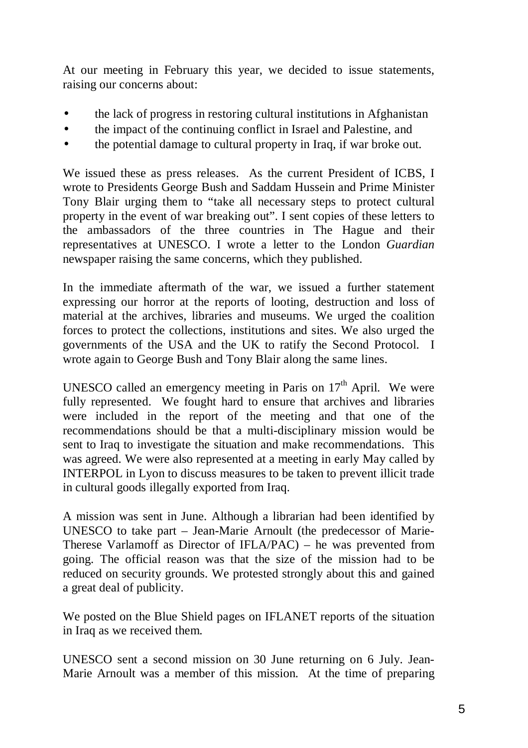At our meeting in February this year, we decided to issue statements, raising our concerns about:

- the lack of progress in restoring cultural institutions in Afghanistan
- the impact of the continuing conflict in Israel and Palestine, and
- the potential damage to cultural property in Iraq, if war broke out.

We issued these as press releases. As the current President of ICBS, I wrote to Presidents George Bush and Saddam Hussein and Prime Minister Tony Blair urging them to "take all necessary steps to protect cultural property in the event of war breaking out". I sent copies of these letters to the ambassadors of the three countries in The Hague and their representatives at UNESCO. I wrote a letter to the London *Guardian* newspaper raising the same concerns, which they published.

In the immediate aftermath of the war, we issued a further statement expressing our horror at the reports of looting, destruction and loss of material at the archives, libraries and museums. We urged the coalition forces to protect the collections, institutions and sites. We also urged the governments of the USA and the UK to ratify the Second Protocol. I wrote again to George Bush and Tony Blair along the same lines.

UNESCO called an emergency meeting in Paris on  $17<sup>th</sup>$  April. We were fully represented. We fought hard to ensure that archives and libraries were included in the report of the meeting and that one of the recommendations should be that a multi-disciplinary mission would be sent to Iraq to investigate the situation and make recommendations. This was agreed. We were also represented at a meeting in early May called by INTERPOL in Lyon to discuss measures to be taken to prevent illicit trade in cultural goods illegally exported from Iraq.

A mission was sent in June. Although a librarian had been identified by UNESCO to take part – Jean-Marie Arnoult (the predecessor of Marie-Therese Varlamoff as Director of IFLA/PAC) – he was prevented from going. The official reason was that the size of the mission had to be reduced on security grounds. We protested strongly about this and gained a great deal of publicity.

We posted on the Blue Shield pages on IFLANET reports of the situation in Iraq as we received them.

UNESCO sent a second mission on 30 June returning on 6 July. Jean-Marie Arnoult was a member of this mission. At the time of preparing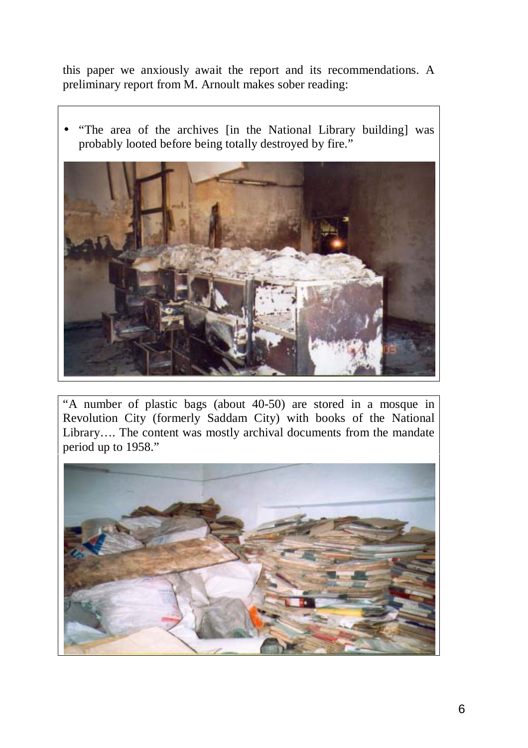this paper we anxiously await the report and its recommendations. A preliminary report from M. Arnoult makes sober reading:

• "The area of the archives [in the National Library building] was probably looted before being totally destroyed by fire."



"A number of plastic bags (about 40-50) are stored in a mosque in Revolution City (formerly Saddam City) with books of the National Library…. The content was mostly archival documents from the mandate period up to 1958."

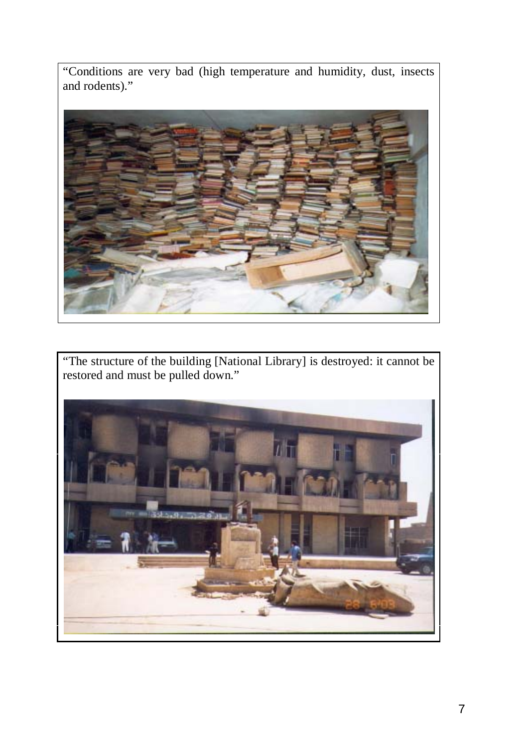"Conditions are very bad (high temperature and humidity, dust, insects and rodents)."



"The structure of the building [National Library] is destroyed: it cannot be restored and must be pulled down."

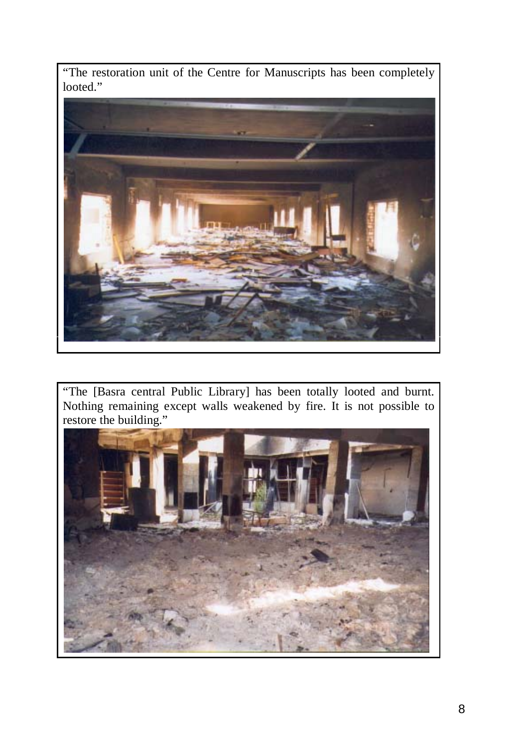"The restoration unit of the Centre for Manuscripts has been completely looted."



"The [Basra central Public Library] has been totally looted and burnt. Nothing remaining except walls weakened by fire. It is not possible to restore the building."

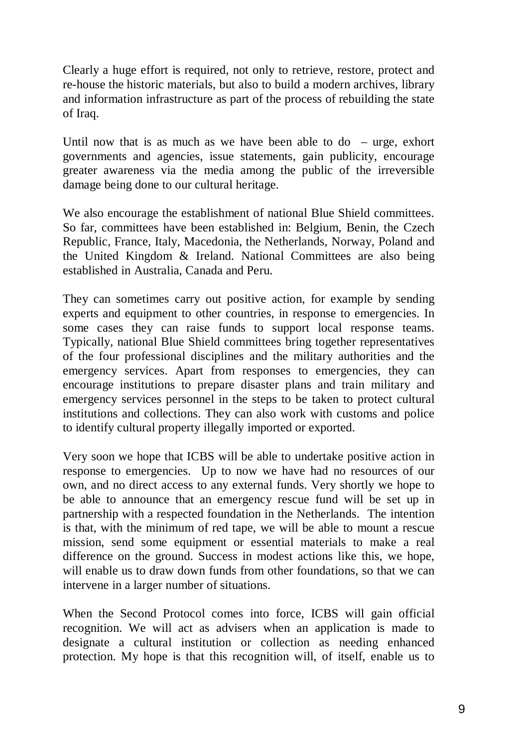Clearly a huge effort is required, not only to retrieve, restore, protect and re-house the historic materials, but also to build a modern archives, library and information infrastructure as part of the process of rebuilding the state of Iraq.

Until now that is as much as we have been able to  $\phi$  – urge, exhort governments and agencies, issue statements, gain publicity, encourage greater awareness via the media among the public of the irreversible damage being done to our cultural heritage.

We also encourage the establishment of national Blue Shield committees. So far, committees have been established in: Belgium, Benin, the Czech Republic, France, Italy, Macedonia, the Netherlands, Norway, Poland and the United Kingdom & Ireland. National Committees are also being established in Australia, Canada and Peru.

They can sometimes carry out positive action, for example by sending experts and equipment to other countries, in response to emergencies. In some cases they can raise funds to support local response teams. Typically, national Blue Shield committees bring together representatives of the four professional disciplines and the military authorities and the emergency services. Apart from responses to emergencies, they can encourage institutions to prepare disaster plans and train military and emergency services personnel in the steps to be taken to protect cultural institutions and collections. They can also work with customs and police to identify cultural property illegally imported or exported.

Very soon we hope that ICBS will be able to undertake positive action in response to emergencies. Up to now we have had no resources of our own, and no direct access to any external funds. Very shortly we hope to be able to announce that an emergency rescue fund will be set up in partnership with a respected foundation in the Netherlands. The intention is that, with the minimum of red tape, we will be able to mount a rescue mission, send some equipment or essential materials to make a real difference on the ground. Success in modest actions like this, we hope, will enable us to draw down funds from other foundations, so that we can intervene in a larger number of situations.

When the Second Protocol comes into force, ICBS will gain official recognition. We will act as advisers when an application is made to designate a cultural institution or collection as needing enhanced protection. My hope is that this recognition will, of itself, enable us to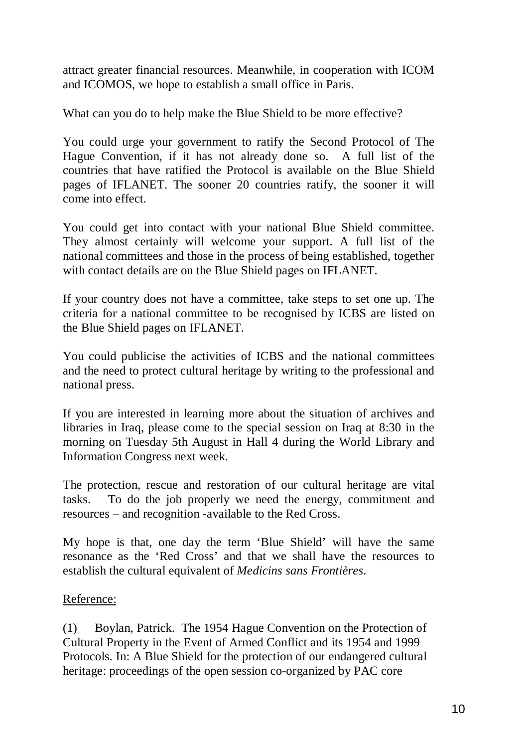attract greater financial resources. Meanwhile, in cooperation with ICOM and ICOMOS, we hope to establish a small office in Paris.

What can you do to help make the Blue Shield to be more effective?

You could urge your government to ratify the Second Protocol of The Hague Convention, if it has not already done so. A full list of the countries that have ratified the Protocol is available on the Blue Shield pages of IFLANET. The sooner 20 countries ratify, the sooner it will come into effect.

You could get into contact with your national Blue Shield committee. They almost certainly will welcome your support. A full list of the national committees and those in the process of being established, together with contact details are on the Blue Shield pages on IFLANET.

If your country does not have a committee, take steps to set one up. The criteria for a national committee to be recognised by ICBS are listed on the Blue Shield pages on IFLANET.

You could publicise the activities of ICBS and the national committees and the need to protect cultural heritage by writing to the professional and national press.

If you are interested in learning more about the situation of archives and libraries in Iraq, please come to the special session on Iraq at 8:30 in the morning on Tuesday 5th August in Hall 4 during the World Library and Information Congress next week.

The protection, rescue and restoration of our cultural heritage are vital tasks. To do the job properly we need the energy, commitment and resources – and recognition -available to the Red Cross.

My hope is that, one day the term 'Blue Shield' will have the same resonance as the 'Red Cross' and that we shall have the resources to establish the cultural equivalent of *Medicins sans Frontières*.

## Reference:

(1) Boylan, Patrick. The 1954 Hague Convention on the Protection of Cultural Property in the Event of Armed Conflict and its 1954 and 1999 Protocols. In: A Blue Shield for the protection of our endangered cultural heritage: proceedings of the open session co-organized by PAC core